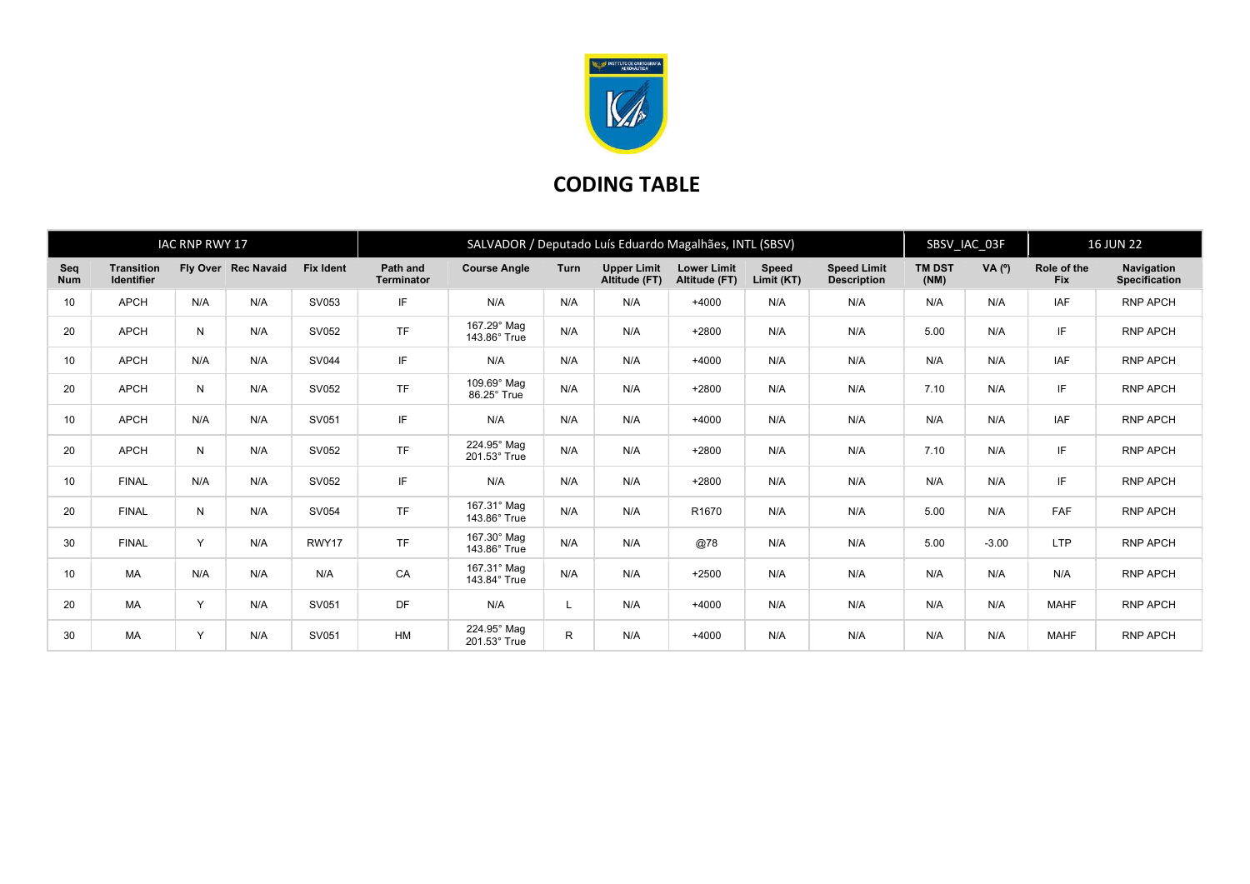

## CODING TABLE

|                   |                                        | <b>IAC RNP RWY 17</b> |                     |                  | SALVADOR / Deputado Luís Eduardo Magalhães, INTL (SBSV) |                             |      |                                     |                                     |                            |                                          |                       | SBSV_IAC_03F |                           | <b>16 JUN 22</b>                   |  |
|-------------------|----------------------------------------|-----------------------|---------------------|------------------|---------------------------------------------------------|-----------------------------|------|-------------------------------------|-------------------------------------|----------------------------|------------------------------------------|-----------------------|--------------|---------------------------|------------------------------------|--|
| Seq<br><b>Num</b> | <b>Transition</b><br><b>Identifier</b> |                       | Fly Over Rec Navaid | <b>Fix Ident</b> | Path and<br><b>Terminator</b>                           | <b>Course Angle</b>         | Turn | <b>Upper Limit</b><br>Altitude (FT) | <b>Lower Limit</b><br>Altitude (FT) | <b>Speed</b><br>Limit (KT) | <b>Speed Limit</b><br><b>Description</b> | <b>TM DST</b><br>(NM) | VA $(°)$     | Role of the<br><b>Fix</b> | Navigation<br><b>Specification</b> |  |
| 10                | <b>APCH</b>                            | N/A                   | N/A                 | SV053            | IF                                                      | N/A                         | N/A  | N/A                                 | $+4000$                             | N/A                        | N/A                                      | N/A                   | N/A          | <b>IAF</b>                | <b>RNP APCH</b>                    |  |
| 20                | <b>APCH</b>                            | N                     | N/A                 | SV052            | <b>TF</b>                                               | 167.29° Mag<br>143.86° True | N/A  | N/A                                 | $+2800$                             | N/A                        | N/A                                      | 5.00                  | N/A          | IF                        | <b>RNP APCH</b>                    |  |
| 10                | <b>APCH</b>                            | N/A                   | N/A                 | <b>SV044</b>     | IF                                                      | N/A                         | N/A  | N/A                                 | $+4000$                             | N/A                        | N/A                                      | N/A                   | N/A          | IAF                       | <b>RNP APCH</b>                    |  |
| 20                | <b>APCH</b>                            | N                     | N/A                 | SV052            | <b>TF</b>                                               | 109.69° Mag<br>86.25° True  | N/A  | N/A                                 | $+2800$                             | N/A                        | N/A                                      | 7.10                  | N/A          | IF                        | <b>RNP APCH</b>                    |  |
| 10                | <b>APCH</b>                            | N/A                   | N/A                 | SV051            | IF                                                      | N/A                         | N/A  | N/A                                 | $+4000$                             | N/A                        | N/A                                      | N/A                   | N/A          | <b>IAF</b>                | <b>RNP APCH</b>                    |  |
| 20                | <b>APCH</b>                            | N                     | N/A                 | SV052            | <b>TF</b>                                               | 224.95° Mag<br>201.53° True | N/A  | N/A                                 | $+2800$                             | N/A                        | N/A                                      | 7.10                  | N/A          | IF                        | <b>RNP APCH</b>                    |  |
| 10                | <b>FINAL</b>                           | N/A                   | N/A                 | SV052            | IF                                                      | N/A                         | N/A  | N/A                                 | $+2800$                             | N/A                        | N/A                                      | N/A                   | N/A          | IF                        | <b>RNP APCH</b>                    |  |
| 20                | <b>FINAL</b>                           | N                     | N/A                 | SV054            | <b>TF</b>                                               | 167.31° Mag<br>143.86° True | N/A  | N/A                                 | R <sub>1670</sub>                   | N/A                        | N/A                                      | 5.00                  | N/A          | <b>FAF</b>                | <b>RNP APCH</b>                    |  |
| 30                | <b>FINAL</b>                           | Y                     | N/A                 | RWY17            | <b>TF</b>                                               | 167.30° Mag<br>143.86° True | N/A  | N/A                                 | @78                                 | N/A                        | N/A                                      | 5.00                  | $-3.00$      | <b>LTP</b>                | <b>RNP APCH</b>                    |  |
| 10                | <b>MA</b>                              | N/A                   | N/A                 | N/A              | CA                                                      | 167.31° Mag<br>143.84° True | N/A  | N/A                                 | $+2500$                             | N/A                        | N/A                                      | N/A                   | N/A          | N/A                       | <b>RNP APCH</b>                    |  |
| 20                | <b>MA</b>                              | Y                     | N/A                 | SV051            | DF                                                      | N/A                         |      | N/A                                 | $+4000$                             | N/A                        | N/A                                      | N/A                   | N/A          | <b>MAHF</b>               | <b>RNP APCH</b>                    |  |
| 30                | <b>MA</b>                              | Y                     | N/A                 | SV051            | HM                                                      | 224.95° Mag<br>201.53° True | R.   | N/A                                 | $+4000$                             | N/A                        | N/A                                      | N/A                   | N/A          | <b>MAHF</b>               | <b>RNP APCH</b>                    |  |